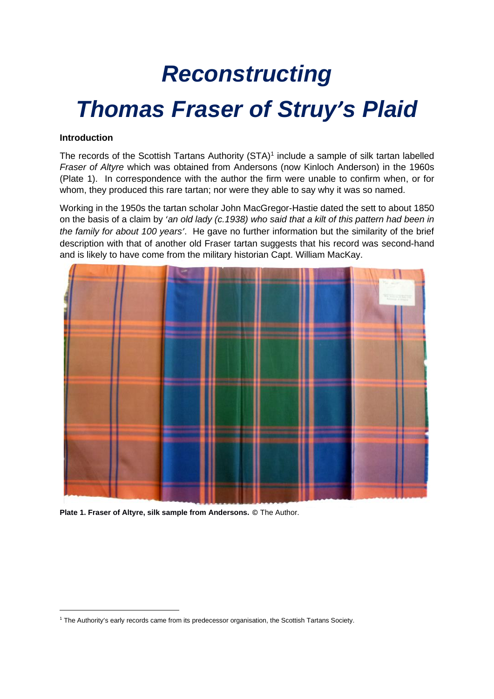# *Reconstructing Thomas Fraser of Struy's Plaid*

#### **Introduction**

The records of the Scottish Tartans Authority  $(STA)^1$  include a sample of silk tartan labelled *Fraser of Altyre* which was obtained from Andersons (now Kinloch Anderson) in the 1960s (Plate 1). In correspondence with the author the firm were unable to confirm when, or for whom, they produced this rare tartan; nor were they able to say why it was so named.

Working in the 1950s the tartan scholar John MacGregor-Hastie dated the sett to about 1850 on the basis of a claim by '*an old lady (c.1938) who said that a kilt of this pattern had been in the family for about 100 years'*. He gave no further information but the similarity of the brief description with that of another old Fraser tartan suggests that his record was second-hand and is likely to have come from the military historian Capt. William MacKay.



**Plate 1. Fraser of Altyre, silk sample from Andersons.** © The Author.

<sup>1</sup> The Authority's early records came from its predecessor organisation, the Scottish Tartans Society.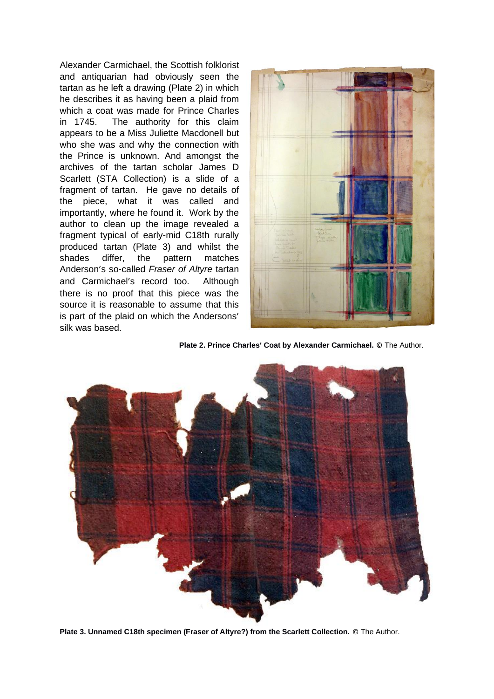Alexander Carmichael, the Scottish folklorist and antiquarian had obviously seen the tartan as he left a drawing (Plate 2) in which he describes it as having been a plaid from which a coat was made for Prince Charles in 1745. The authority for this claim appears to be a Miss Juliette Macdonell but who she was and why the connection with the Prince is unknown. And amongst the archives of the tartan scholar James D Scarlett (STA Collection) is a slide of a fragment of tartan. He gave no details of the piece, what it was called and importantly, where he found it. Work by the author to clean up the image revealed a fragment typical of early-mid C18th rurally produced tartan (Plate 3) and whilst the shades differ, the pattern matches Anderson's so-called *Fraser of Altyre* tartan and Carmichael's record too. Although there is no proof that this piece was the source it is reasonable to assume that this is part of the plaid on which the Andersons' silk was based.



**Plate 2. Prince Charles' Coat by Alexander Carmichael.** © The Author.



**Plate 3. Unnamed C18th specimen (Fraser of Altyre?) from the Scarlett Collection.** © The Author.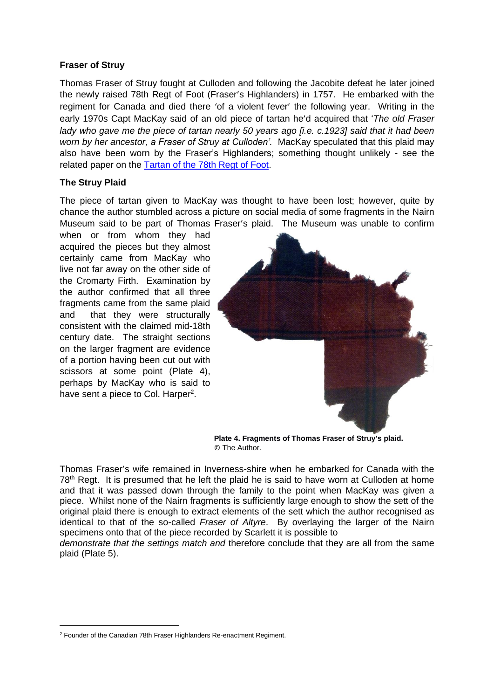#### **Fraser of Struy**

Thomas Fraser of Struy fought at Culloden and following the Jacobite defeat he later joined the newly raised 78th Regt of Foot (Fraser's Highlanders) in 1757. He embarked with the regiment for Canada and died there 'of a violent fever' the following year. Writing in the early 1970s Capt MacKay said of an old piece of tartan he'd acquired that '*The old Fraser lady who gave me the piece of tartan nearly 50 years ago [i.e. c.1923] said that it had been worn by her ancestor, a Fraser of Struy at Culloden'.* MacKay speculated that this plaid may also have been worn by the Fraser's Highlanders; something thought unlikely - see the related paper on the [Tartan of the 78th Regt of Foot.](http://www.scottishtartans.co.uk/78th_Regt__of_Foot.htm)

### **The Struy Plaid**

The piece of tartan given to MacKay was thought to have been lost; however, quite by chance the author stumbled across a picture on social media of some fragments in the Nairn Museum said to be part of Thomas Fraser's plaid. The Museum was unable to confirm

when or from whom they had acquired the pieces but they almost certainly came from MacKay who live not far away on the other side of the Cromarty Firth. Examination by the author confirmed that all three fragments came from the same plaid and that they were structurally consistent with the claimed mid-18th century date. The straight sections on the larger fragment are evidence of a portion having been cut out with scissors at some point (Plate 4), perhaps by MacKay who is said to have sent a piece to Col. Harper<sup>2</sup>.



**Plate 4. Fragments of Thomas Fraser of Struy's plaid.**  © The Author.

Thomas Fraser's wife remained in Inverness-shire when he embarked for Canada with the  $78<sup>th</sup>$  Regt. It is presumed that he left the plaid he is said to have worn at Culloden at home and that it was passed down through the family to the point when MacKay was given a piece. Whilst none of the Nairn fragments is sufficiently large enough to show the sett of the original plaid there is enough to extract elements of the sett which the author recognised as identical to that of the so-called *Fraser of Altyre*. By overlaying the larger of the Nairn specimens onto that of the piece recorded by Scarlett it is possible to

*demonstrate that the settings match and* therefore conclude that they are all from the same plaid (Plate 5).

<sup>2</sup> Founder of the Canadian 78th Fraser Highlanders Re-enactment Regiment.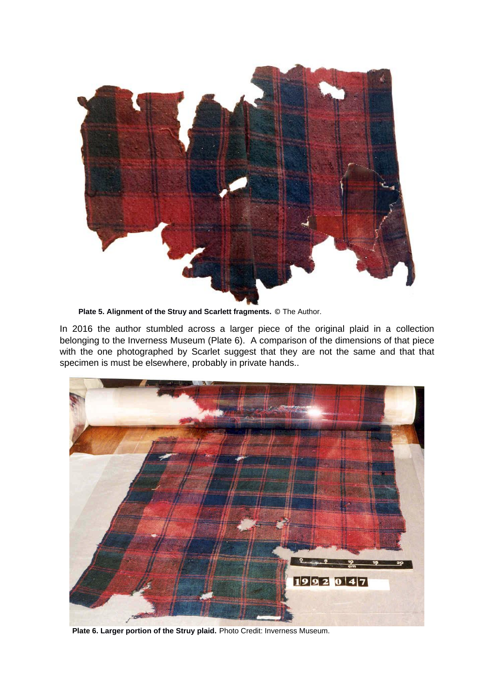

 **Plate 5. Alignment of the Struy and Scarlett fragments.** © The Author.

In 2016 the author stumbled across a larger piece of the original plaid in a collection belonging to the Inverness Museum (Plate 6). A comparison of the dimensions of that piece with the one photographed by Scarlet suggest that they are not the same and that that specimen is must be elsewhere, probably in private hands..



 **Plate 6. Larger portion of the Struy plaid.** Photo Credit: Inverness Museum.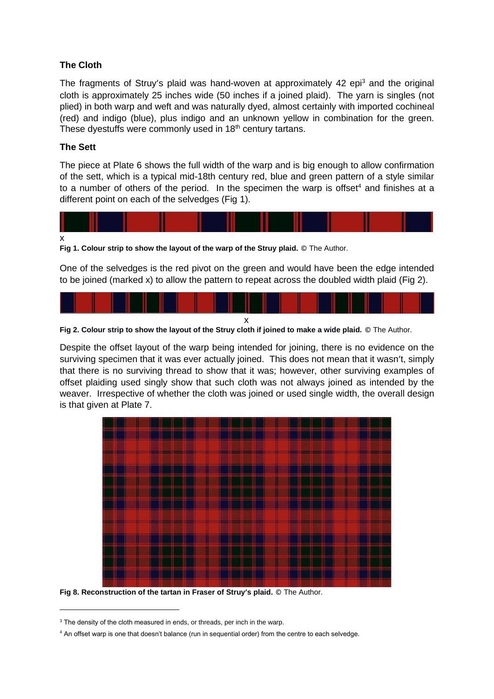# **The Cloth**

The fragments of Struy's plaid was hand-woven at approximately 42 epi<sup>3</sup> and the original cloth is approximately 25 inches wide (50 inches if a joined plaid). The yarn is singles (not plied) in both warp and weft and was naturally dyed, almost certainly with imported cochineal (red) and indigo (blue), plus indigo and an unknown yellow in combination for the green. These dyestuffs were commonly used in 18<sup>th</sup> century tartans.

## **The Sett**

The piece at Plate 6 shows the full width of the warp and is big enough to allow confirmation of the sett, which is a typical mid-18th century red, blue and green pattern of a style similar to a number of others of the period. In the specimen the warp is offset<sup>4</sup> and finishes at a different point on each of the selvedges (Fig 1).



**Fig 1. Colour strip to show the layout of the warp of the Struy plaid.** © The Author.

One of the selvedges is the red pivot on the green and would have been the edge intended to be joined (marked x) to allow the pattern to repeat across the doubled width plaid (Fig 2).



**Fig 2. Colour strip to show the layout of the Struy cloth if joined to make a wide plaid.** © The Author.

Despite the offset layout of the warp being intended for joining, there is no evidence on the surviving specimen that it was ever actually joined. This does not mean that it wasn't, simply that there is no surviving thread to show that it was; however, other surviving examples of offset plaiding used singly show that such cloth was not always joined as intended by the weaver. Irrespective of whether the cloth was joined or used single width, the overall design is that given at Plate 7.



**Fig 8. Reconstruction of the tartan in Fraser of Struy's plaid.** © The Author.

<sup>&</sup>lt;sup>3</sup> The density of the cloth measured in ends, or threads, per inch in the warp.

<sup>4</sup> An offset warp is one that doesn't balance (run in sequential order) from the centre to each selvedge.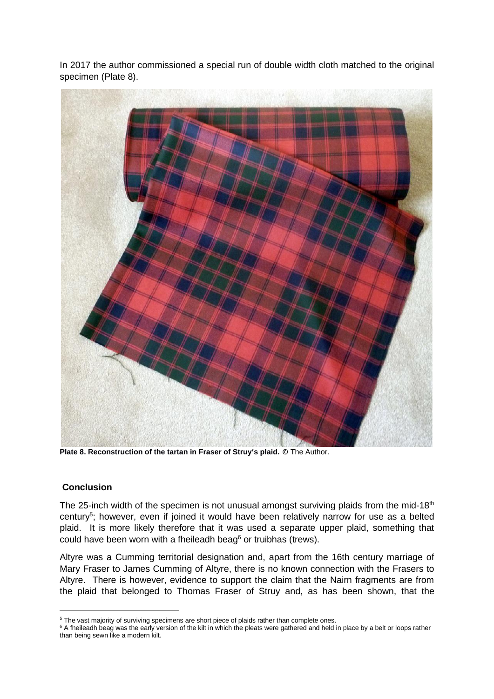In 2017 the author commissioned a special run of double width cloth matched to the original specimen (Plate 8).



**Plate 8. Reconstruction of the tartan in Fraser of Struy's plaid.** © The Author.

### **Conclusion**

The 25-inch width of the specimen is not unusual amongst surviving plaids from the mid-18<sup>th</sup> century<sup>5</sup>; however, even if joined it would have been relatively narrow for use as a belted plaid. It is more likely therefore that it was used a separate upper plaid, something that could have been worn with a fheileadh beag<sup>6</sup> or truibhas (trews).

Altyre was a Cumming territorial designation and, apart from the 16th century marriage of Mary Fraser to James Cumming of Altyre, there is no known connection with the Frasers to Altyre. There is however, evidence to support the claim that the Nairn fragments are from the plaid that belonged to Thomas Fraser of Struy and, as has been shown, that the

<sup>&</sup>lt;sup>5</sup> The vast majority of surviving specimens are short piece of plaids rather than complete ones.

<sup>&</sup>lt;sup>6</sup> A fheileadh beag was the early version of the kilt in which the pleats were gathered and held in place by a belt or loops rather than being sewn like a modern kilt.